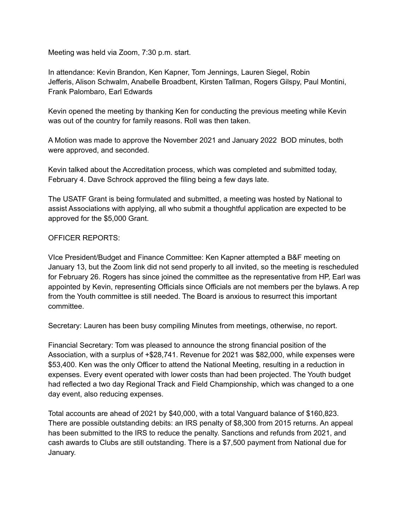Meeting was held via Zoom, 7:30 p.m. start.

In attendance: Kevin Brandon, Ken Kapner, Tom Jennings, Lauren Siegel, Robin Jefferis, Alison Schwalm, Anabelle Broadbent, Kirsten Tallman, Rogers Gilspy, Paul Montini, Frank Palombaro, Earl Edwards

Kevin opened the meeting by thanking Ken for conducting the previous meeting while Kevin was out of the country for family reasons. Roll was then taken.

A Motion was made to approve the November 2021 and January 2022 BOD minutes, both were approved, and seconded.

Kevin talked about the Accreditation process, which was completed and submitted today, February 4. Dave Schrock approved the filing being a few days late.

The USATF Grant is being formulated and submitted, a meeting was hosted by National to assist Associations with applying, all who submit a thoughtful application are expected to be approved for the \$5,000 Grant.

## OFFICER REPORTS:

VIce President/Budget and Finance Committee: Ken Kapner attempted a B&F meeting on January 13, but the Zoom link did not send properly to all invited, so the meeting is rescheduled for February 26. Rogers has since joined the committee as the representative from HP, Earl was appointed by Kevin, representing Officials since Officials are not members per the bylaws. A rep from the Youth committee is still needed. The Board is anxious to resurrect this important committee.

Secretary: Lauren has been busy compiling Minutes from meetings, otherwise, no report.

Financial Secretary: Tom was pleased to announce the strong financial position of the Association, with a surplus of +\$28,741. Revenue for 2021 was \$82,000, while expenses were \$53,400. Ken was the only Officer to attend the National Meeting, resulting in a reduction in expenses. Every event operated with lower costs than had been projected. The Youth budget had reflected a two day Regional Track and Field Championship, which was changed to a one day event, also reducing expenses.

Total accounts are ahead of 2021 by \$40,000, with a total Vanguard balance of \$160,823. There are possible outstanding debits: an IRS penalty of \$8,300 from 2015 returns. An appeal has been submitted to the IRS to reduce the penalty. Sanctions and refunds from 2021, and cash awards to Clubs are still outstanding. There is a \$7,500 payment from National due for January.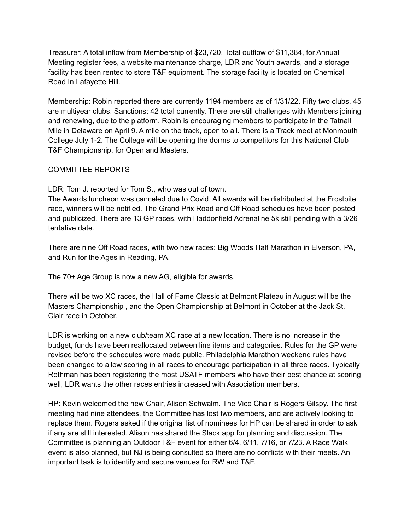Treasurer: A total inflow from Membership of \$23,720. Total outflow of \$11,384, for Annual Meeting register fees, a website maintenance charge, LDR and Youth awards, and a storage facility has been rented to store T&F equipment. The storage facility is located on Chemical Road In Lafayette Hill.

Membership: Robin reported there are currently 1194 members as of 1/31/22. Fifty two clubs, 45 are multiyear clubs. Sanctions: 42 total currently. There are still challenges with Members joining and renewing, due to the platform. Robin is encouraging members to participate in the Tatnall Mile in Delaware on April 9. A mile on the track, open to all. There is a Track meet at Monmouth College July 1-2. The College will be opening the dorms to competitors for this National Club T&F Championship, for Open and Masters.

## COMMITTEE REPORTS

LDR: Tom J. reported for Tom S., who was out of town.

The Awards luncheon was canceled due to Covid. All awards will be distributed at the Frostbite race, winners will be notified. The Grand Prix Road and Off Road schedules have been posted and publicized. There are 13 GP races, with Haddonfield Adrenaline 5k still pending with a 3/26 tentative date.

There are nine Off Road races, with two new races: Big Woods Half Marathon in Elverson, PA, and Run for the Ages in Reading, PA.

The 70+ Age Group is now a new AG, eligible for awards.

There will be two XC races, the Hall of Fame Classic at Belmont Plateau in August will be the Masters Championship , and the Open Championship at Belmont in October at the Jack St. Clair race in October.

LDR is working on a new club/team XC race at a new location. There is no increase in the budget, funds have been reallocated between line items and categories. Rules for the GP were revised before the schedules were made public. Philadelphia Marathon weekend rules have been changed to allow scoring in all races to encourage participation in all three races. Typically Rothman has been registering the most USATF members who have their best chance at scoring well, LDR wants the other races entries increased with Association members.

HP: Kevin welcomed the new Chair, Alison Schwalm. The Vice Chair is Rogers Gilspy. The first meeting had nine attendees, the Committee has lost two members, and are actively looking to replace them. Rogers asked if the original list of nominees for HP can be shared in order to ask if any are still interested. Alison has shared the Slack app for planning and discussion. The Committee is planning an Outdoor T&F event for either 6/4, 6/11, 7/16, or 7/23. A Race Walk event is also planned, but NJ is being consulted so there are no conflicts with their meets. An important task is to identify and secure venues for RW and T&F.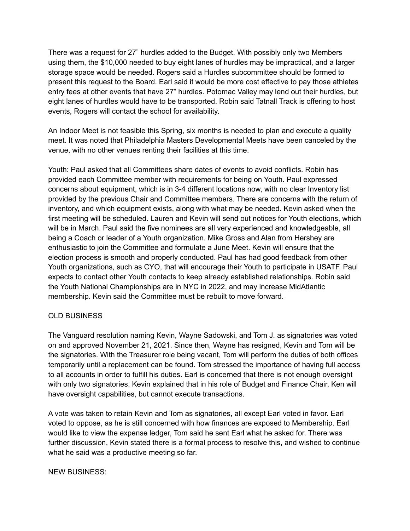There was a request for 27" hurdles added to the Budget. With possibly only two Members using them, the \$10,000 needed to buy eight lanes of hurdles may be impractical, and a larger storage space would be needed. Rogers said a Hurdles subcommittee should be formed to present this request to the Board. Earl said it would be more cost effective to pay those athletes entry fees at other events that have 27" hurdles. Potomac Valley may lend out their hurdles, but eight lanes of hurdles would have to be transported. Robin said Tatnall Track is offering to host events, Rogers will contact the school for availability.

An Indoor Meet is not feasible this Spring, six months is needed to plan and execute a quality meet. It was noted that Philadelphia Masters Developmental Meets have been canceled by the venue, with no other venues renting their facilities at this time.

Youth: Paul asked that all Committees share dates of events to avoid conflicts. Robin has provided each Committee member with requirements for being on Youth. Paul expressed concerns about equipment, which is in 3-4 different locations now, with no clear Inventory list provided by the previous Chair and Committee members. There are concerns with the return of inventory, and which equipment exists, along with what may be needed. Kevin asked when the first meeting will be scheduled. Lauren and Kevin will send out notices for Youth elections, which will be in March. Paul said the five nominees are all very experienced and knowledgeable, all being a Coach or leader of a Youth organization. Mike Gross and Alan from Hershey are enthusiastic to join the Committee and formulate a June Meet. Kevin will ensure that the election process is smooth and properly conducted. Paul has had good feedback from other Youth organizations, such as CYO, that will encourage their Youth to participate in USATF. Paul expects to contact other Youth contacts to keep already established relationships. Robin said the Youth National Championships are in NYC in 2022, and may increase MidAtlantic membership. Kevin said the Committee must be rebuilt to move forward.

## OLD BUSINESS

The Vanguard resolution naming Kevin, Wayne Sadowski, and Tom J. as signatories was voted on and approved November 21, 2021. Since then, Wayne has resigned, Kevin and Tom will be the signatories. With the Treasurer role being vacant, Tom will perform the duties of both offices temporarily until a replacement can be found. Tom stressed the importance of having full access to all accounts in order to fulfill his duties. Earl is concerned that there is not enough oversight with only two signatories, Kevin explained that in his role of Budget and Finance Chair, Ken will have oversight capabilities, but cannot execute transactions.

A vote was taken to retain Kevin and Tom as signatories, all except Earl voted in favor. Earl voted to oppose, as he is still concerned with how finances are exposed to Membership. Earl would like to view the expense ledger, Tom said he sent Earl what he asked for. There was further discussion, Kevin stated there is a formal process to resolve this, and wished to continue what he said was a productive meeting so far.

## NEW BUSINESS: